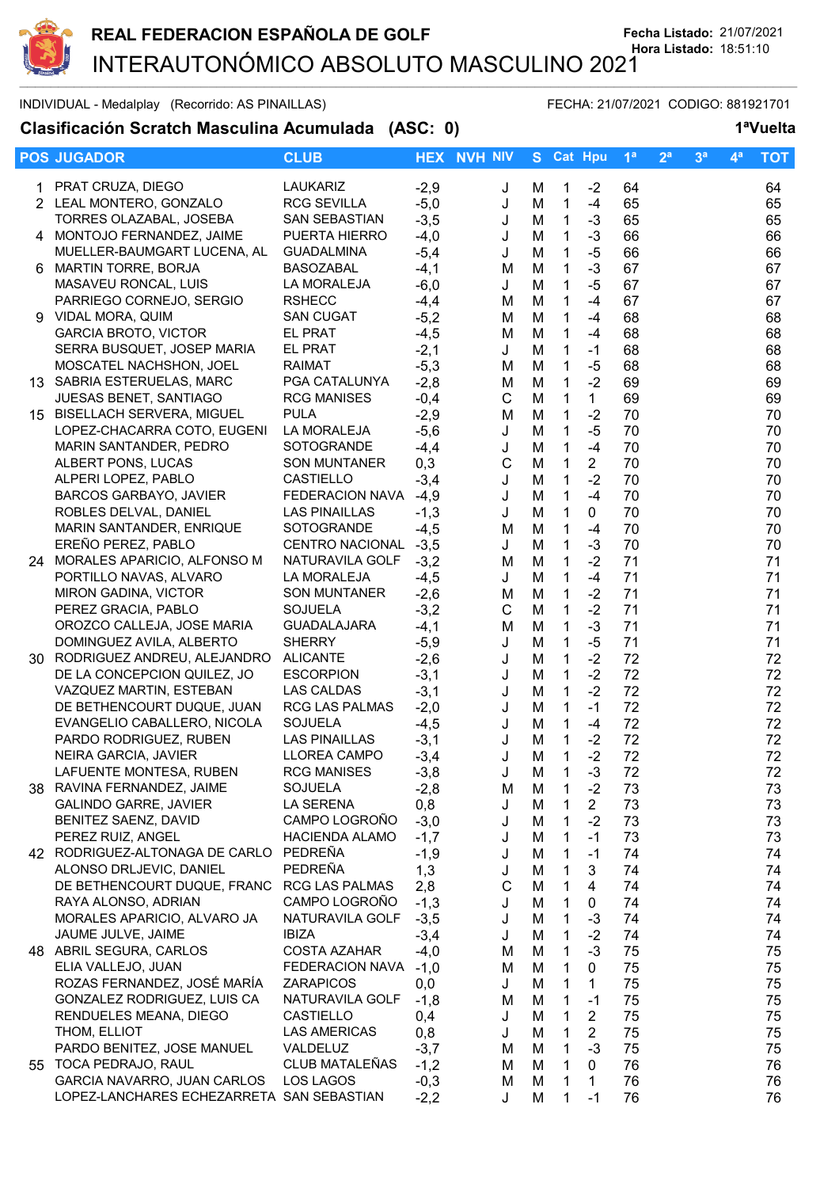

## INDIVIDUAL - Medalplay (Recorrido: AS PINAILLAS) FECHA: 21/07/2021 CODIGO: 881921701

## **Clasificación Scratch Masculina Acumulada (ASC: 0) 1ªVuelta**

|    | <b>POS JUGADOR</b>                                    | <b>CLUB</b>                            |               | <b>HEX NVH NIV</b> |        |                              | S Cat Hpu              | 1 <sup>a</sup> | 2 <sup>a</sup> | 3 <sup>a</sup> | $4^a$ | <b>TOT</b> |
|----|-------------------------------------------------------|----------------------------------------|---------------|--------------------|--------|------------------------------|------------------------|----------------|----------------|----------------|-------|------------|
|    | 1 PRAT CRUZA, DIEGO                                   | <b>LAUKARIZ</b>                        | $-2,9$        | J                  | м      | $\mathbf{1}$                 | $-2$                   | 64             |                |                |       | 64         |
|    | 2 LEAL MONTERO, GONZALO                               | <b>RCG SEVILLA</b>                     | $-5,0$        | J                  | M      | $\mathbf{1}$                 | $-4$                   | 65             |                |                |       | 65         |
|    | TORRES OLAZABAL, JOSEBA                               | SAN SEBASTIAN                          | $-3,5$        | J                  | M      | $\mathbf{1}$                 | $-3$                   | 65             |                |                |       | 65         |
|    | 4 MONTOJO FERNANDEZ, JAIME                            | PUERTA HIERRO                          | $-4,0$        | J                  | M      | $\mathbf{1}$                 | $-3$                   | 66             |                |                |       | 66         |
|    | MUELLER-BAUMGART LUCENA, AL                           | <b>GUADALMINA</b>                      | $-5,4$        | J                  | M      | $\mathbf{1}$                 | $-5$                   | 66             |                |                |       | 66         |
| 6. | <b>MARTIN TORRE, BORJA</b>                            | <b>BASOZABAL</b>                       | $-4,1$        | M                  | M      | 1                            | $-3$                   | 67             |                |                |       | 67         |
|    | MASAVEU RONCAL, LUIS                                  | LA MORALEJA                            | $-6,0$        | J                  | M      | $\mathbf{1}$                 | $-5$                   | 67             |                |                |       | 67         |
|    | PARRIEGO CORNEJO, SERGIO                              | <b>RSHECC</b>                          | $-4,4$        | м                  | M      | $\mathbf{1}$                 | $-4$                   | 67             |                |                |       | 67         |
|    | 9 VIDAL MORA, QUIM                                    | <b>SAN CUGAT</b>                       | $-5,2$        | M                  | M      | $\mathbf{1}$                 | $-4$                   | 68             |                |                |       | 68         |
|    | <b>GARCIA BROTO, VICTOR</b>                           | EL PRAT                                | $-4,5$        | M                  | M      | $\mathbf{1}$                 | $-4$                   | 68             |                |                |       | 68         |
|    | SERRA BUSQUET, JOSEP MARIA                            | EL PRAT                                | $-2,1$        | J                  | M      | $\mathbf{1}$                 | $-1$                   | 68             |                |                |       | 68         |
|    | MOSCATEL NACHSHON, JOEL                               | <b>RAIMAT</b>                          | $-5,3$        | M                  | M      | $\mathbf{1}$                 | $-5$                   | 68             |                |                |       | 68         |
|    | 13 SABRIA ESTERUELAS, MARC                            | PGA CATALUNYA                          | $-2,8$        | M                  | M      | $\mathbf{1}$                 | $-2$                   | 69             |                |                |       | 69         |
|    | JUESAS BENET, SANTIAGO                                | <b>RCG MANISES</b>                     | $-0,4$        | C                  | M      | $\mathbf{1}$                 | $\mathbf{1}$           | 69             |                |                |       | 69         |
|    | 15 BISELLACH SERVERA, MIGUEL                          | <b>PULA</b>                            | $-2,9$        | M                  | M      | 1                            | $-2$                   | 70             |                |                |       | 70         |
|    | LOPEZ-CHACARRA COTO, EUGENI                           | LA MORALEJA                            | $-5,6$        | J                  | M      | $\mathbf{1}$                 | $-5$                   | 70             |                |                |       | 70         |
|    | MARIN SANTANDER, PEDRO                                | SOTOGRANDE                             | $-4,4$        | J                  | M      | 1                            | $-4$                   | 70             |                |                |       | 70         |
|    | ALBERT PONS, LUCAS                                    | <b>SON MUNTANER</b>                    | 0,3           | $\mathsf{C}$       | M      | $\mathbf{1}$                 | $\overline{2}$         | 70             |                |                |       | 70         |
|    | ALPERI LOPEZ, PABLO                                   | <b>CASTIELLO</b>                       | $-3,4$        | J                  | M      | 1                            | $-2$                   | 70             |                |                |       | 70         |
|    | <b>BARCOS GARBAYO, JAVIER</b>                         | <b>FEDERACION NAVA</b>                 | $-4,9$        | J                  | M      | 1                            | $-4$                   | 70             |                |                |       | 70         |
|    | ROBLES DELVAL, DANIEL                                 | <b>LAS PINAILLAS</b>                   | $-1,3$        | J                  | M      | $\mathbf{1}$                 | 0                      | 70             |                |                |       | 70         |
|    | MARIN SANTANDER, ENRIQUE                              | SOTOGRANDE                             | $-4,5$        | M                  | M      | $\mathbf{1}$                 | $-4$                   | 70             |                |                |       | 70         |
|    | EREÑO PEREZ, PABLO                                    | <b>CENTRO NACIONAL</b>                 | $-3,5$        | J                  | M      | $\mathbf{1}$                 | $-3$                   | 70             |                |                |       | 70         |
|    | 24 MORALES APARICIO, ALFONSO M                        | NATURAVILA GOLF                        | $-3,2$        | M                  | M      | $\mathbf{1}$                 | $-2$                   | 71             |                |                |       | 71         |
|    | PORTILLO NAVAS, ALVARO                                | LA MORALEJA                            | $-4,5$        | J                  | M      | $\mathbf{1}$                 | $-4$                   | 71             |                |                |       | 71         |
|    | MIRON GADINA, VICTOR                                  | <b>SON MUNTANER</b>                    | $-2,6$        | M                  | M      | $\mathbf{1}$                 | $-2$                   | 71             |                |                |       | 71         |
|    | PEREZ GRACIA, PABLO                                   | <b>SOJUELA</b>                         | $-3,2$        | $\mathsf{C}$       | M      | $\mathbf{1}$                 | $-2$                   | 71             |                |                |       | 71         |
|    | OROZCO CALLEJA, JOSE MARIA                            | <b>GUADALAJARA</b>                     | $-4,1$        | M                  | M      | $\mathbf{1}$                 | $-3$                   | 71             |                |                |       | 71         |
|    | DOMINGUEZ AVILA, ALBERTO                              | <b>SHERRY</b>                          | $-5,9$        | J                  | M      | $\mathbf{1}$                 | $-5$                   | 71             |                |                |       | 71         |
|    | 30 RODRIGUEZ ANDREU, ALEJANDRO                        | <b>ALICANTE</b>                        | $-2,6$        | J                  | M      | $\mathbf{1}$                 | $-2$                   | 72             |                |                |       | 72         |
|    | DE LA CONCEPCION QUILEZ, JO                           | <b>ESCORPION</b>                       | $-3,1$        | J                  | M      | 1                            | $-2$                   | 72             |                |                |       | 72         |
|    | VAZQUEZ MARTIN, ESTEBAN                               | LAS CALDAS                             | $-3,1$        | J                  | M      | $\mathbf{1}$                 | $-2$                   | 72             |                |                |       | 72         |
|    | DE BETHENCOURT DUQUE, JUAN                            | <b>RCG LAS PALMAS</b>                  | $-2,0$        | J                  | M      | $\mathbf{1}$                 | $-1$                   | 72             |                |                |       | 72         |
|    | EVANGELIO CABALLERO, NICOLA<br>PARDO RODRIGUEZ, RUBEN | <b>SOJUELA</b><br><b>LAS PINAILLAS</b> | $-4,5$        | J                  | M      | $\mathbf{1}$                 | $-4$                   | 72             |                |                |       | 72         |
|    |                                                       | LLOREA CAMPO                           | $-3,1$        | J                  | M      | $\mathbf{1}$<br>$\mathbf{1}$ | $-2$<br>$-2$           | 72<br>72       |                |                |       | 72<br>72   |
|    | NEIRA GARCIA, JAVIER<br>LAFUENTE MONTESA, RUBEN       | <b>RCG MANISES</b>                     | $-3,4$        | J                  | M      | $\mathbf{1}$                 | $-3$                   |                |                |                |       |            |
|    | 38 RAVINA FERNANDEZ, JAIME                            | <b>SOJUELA</b>                         | $-3,8$        | J                  | M      |                              |                        | 72             |                |                |       | 72         |
|    | <b>GALINDO GARRE, JAVIER</b>                          | LA SERENA                              | $-2,8$        | м                  | M<br>M | $\mathbf{1}$<br>$\mathbf{1}$ | $-2$<br>$\overline{2}$ | 73<br>73       |                |                |       | 73         |
|    | BENITEZ SAENZ, DAVID                                  | CAMPO LOGROÑO                          | 0,8<br>$-3,0$ | J<br>J             | M      | $\mathbf{1}$                 | $-2$                   | 73             |                |                |       | 73<br>73   |
|    | PEREZ RUIZ, ANGEL                                     | <b>HACIENDA ALAMO</b>                  | $-1,7$        | J                  | M      | 1                            | $-1$                   | 73             |                |                |       | 73         |
|    | 42 RODRIGUEZ-ALTONAGA DE CARLO PEDREÑA                |                                        | $-1,9$        | J                  | M      | 1                            | $-1$                   | 74             |                |                |       | 74         |
|    | ALONSO DRLJEVIC, DANIEL                               | PEDREÑA                                | 1,3           | J                  | M      | 1                            | 3                      | 74             |                |                |       | 74         |
|    | DE BETHENCOURT DUQUE, FRANC RCG LAS PALMAS            |                                        | 2,8           | C                  | M      | 1                            | 4                      | 74             |                |                |       | 74         |
|    | RAYA ALONSO, ADRIAN                                   | CAMPO LOGROÑO                          | $-1,3$        | J                  | M      | 1                            | 0                      | 74             |                |                |       | 74         |
|    | MORALES APARICIO, ALVARO JA                           | NATURAVILA GOLF                        | $-3,5$        | J                  | M      | 1                            | $-3$                   | 74             |                |                |       | 74         |
|    | JAUME JULVE, JAIME                                    | <b>IBIZA</b>                           | $-3,4$        | J                  | M      | 1                            | $-2$                   | 74             |                |                |       | 74         |
|    | 48 ABRIL SEGURA, CARLOS                               | <b>COSTA AZAHAR</b>                    | $-4,0$        | м                  | M      | 1                            | $-3$                   | 75             |                |                |       | 75         |
|    | ELIA VALLEJO, JUAN                                    | FEDERACION NAVA -1,0                   |               | м                  | M      | 1                            | 0                      | 75             |                |                |       | 75         |
|    | ROZAS FERNANDEZ, JOSÉ MARÍA                           | ZARAPICOS                              | 0,0           | J                  | M      | 1                            | 1                      | 75             |                |                |       | 75         |
|    | GONZALEZ RODRIGUEZ, LUIS CA                           | NATURAVILA GOLF                        | $-1,8$        | M                  | M      | 1                            | $-1$                   | 75             |                |                |       | 75         |
|    | RENDUELES MEANA, DIEGO                                | CASTIELLO                              | 0,4           | J                  | M      | $\mathbf{1}$                 | $\overline{2}$         | 75             |                |                |       | 75         |
|    | THOM, ELLIOT                                          | LAS AMERICAS                           | 0,8           | J                  | M      | 1                            | $\overline{2}$         | 75             |                |                |       | 75         |
|    | PARDO BENITEZ, JOSE MANUEL                            | VALDELUZ                               | $-3,7$        | M                  | M      | 1                            | $-3$                   | 75             |                |                |       | 75         |
|    | 55 TOCA PEDRAJO, RAUL                                 | CLUB MATALEÑAS                         | $-1,2$        | м                  | M      | 1                            | $\mathbf 0$            | 76             |                |                |       | 76         |
|    | GARCIA NAVARRO, JUAN CARLOS                           | LOS LAGOS                              | $-0,3$        | M                  | M      | 1                            | 1                      | 76             |                |                |       | 76         |
|    | LOPEZ-LANCHARES ECHEZARRETA SAN SEBASTIAN             |                                        | $-2,2$        | J                  | M      | 1                            | $-1$                   | 76             |                |                |       | 76         |